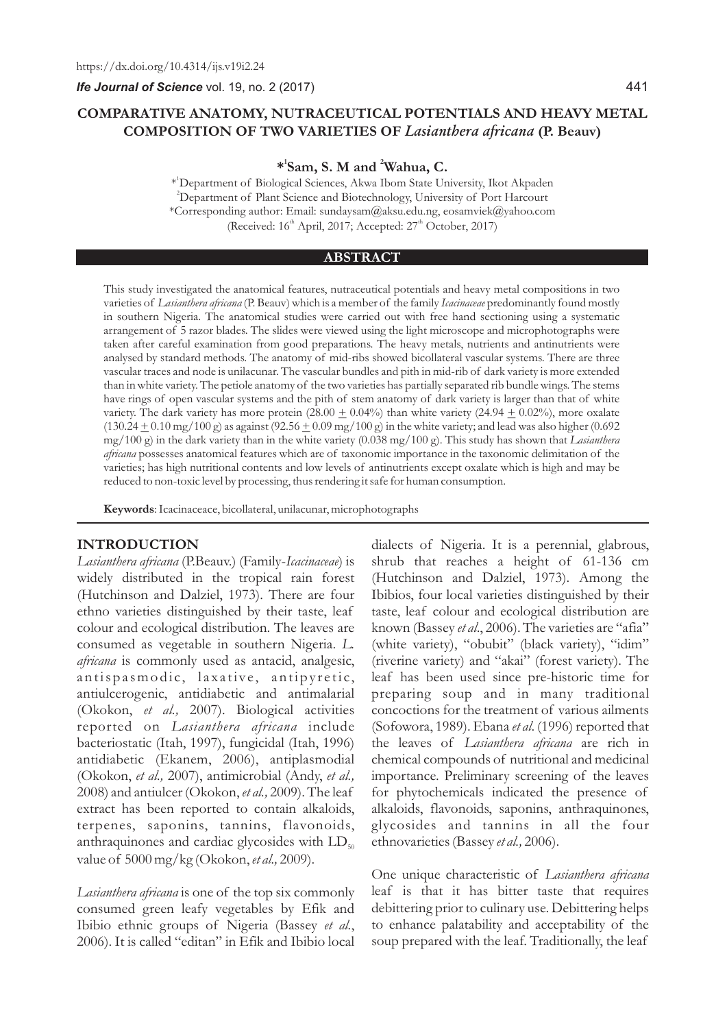# **COMPARATIVE ANATOMY, NUTRACEUTICAL POTENTIALS AND HEAVY METAL COMPOSITION OF TWO VARIETIES OF** *Lasianthera africana* **(P. Beauv)**

**1 2 \* Sam, S. M and Wahua, C.**

1 \* Department of Biological Sciences, Akwa Ibom State University, Ikot Akpaden <sup>2</sup>Department of Plant Science and Biotechnology, University of Port Harcourt \*Corresponding author: Email: sundaysam@aksu.edu.ng, eosamviek@yahoo.com (Received:  $16<sup>th</sup>$  April, 2017; Accepted:  $27<sup>th</sup>$  October, 2017)

#### **ABSTRACT**

This study investigated the anatomical features, nutraceutical potentials and heavy metal compositions in two varieties of *Lasianthera africana* (P. Beauv) which is a member of the family *Icacinaceae* predominantly found mostly in southern Nigeria. The anatomical studies were carried out with free hand sectioning using a systematic arrangement of 5 razor blades. The slides were viewed using the light microscope and microphotographs were taken after careful examination from good preparations. The heavy metals, nutrients and antinutrients were analysed by standard methods. The anatomy of mid-ribs showed bicollateral vascular systems. There are three vascular traces and node is unilacunar. The vascular bundles and pith in mid-rib of dark variety is more extended than in white variety. The petiole anatomy of the two varieties has partially separated rib bundle wings. The stems have rings of open vascular systems and the pith of stem anatomy of dark variety is larger than that of white variety. The dark variety has more protein  $(28.00 \pm 0.04\%)$  than white variety  $(24.94 \pm 0.02\%)$ , more oxalate  $(130.24 \pm 0.10 \text{ mg}/100 \text{ g})$  as against  $(92.56 \pm 0.09 \text{ mg}/100 \text{ g})$  in the white variety; and lead was also higher (0.692 mg/100 g) in the dark variety than in the white variety (0.038 mg/100 g). This study has shown that *Lasianthera africana* possesses anatomical features which are of taxonomic importance in the taxonomic delimitation of the varieties; has high nutritional contents and low levels of antinutrients except oxalate which is high and may be reduced to non-toxic level by processing, thus rendering it safe for human consumption.

**Keywords**: Icacinaceace, bicollateral, unilacunar, microphotographs

#### **INTRODUCTION**

*Lasianthera africana* (P.Beauv.) (Family-*Icacinaceae*) is widely distributed in the tropical rain forest (Hutchinson and Dalziel, 1973). There are four ethno varieties distinguished by their taste, leaf colour and ecological distribution. The leaves are consumed as vegetable in southern Nigeria. *L. africana* is commonly used as antacid, analgesic, antispasmodic, laxative, antipyretic, antiulcerogenic, antidiabetic and antimalarial (Okokon, *et al.,* 2007). Biological activities reported on *Lasianthera africana* include bacteriostatic (Itah, 1997), fungicidal (Itah, 1996) antidiabetic (Ekanem, 2006), antiplasmodial (Okokon, *et al.,* 2007), antimicrobial (Andy, *et al.,* 2008) and antiulcer (Okokon, *et al.,* 2009). The leaf extract has been reported to contain alkaloids, terpenes, saponins, tannins, flavonoids, anthraquinones and cardiac glycosides with  $LD_{50}$ value of 5000 mg/kg (Okokon, *et al.,* 2009).

*Lasianthera africana* is one of the top six commonly consumed green leafy vegetables by Efik and Ibibio ethnic groups of Nigeria (Bassey *et al.*, 2006). It is called "editan" in Efik and Ibibio local dialects of Nigeria. It is a perennial, glabrous, shrub that reaches a height of 61-136 cm (Hutchinson and Dalziel, 1973). Among the Ibibios, four local varieties distinguished by their taste, leaf colour and ecological distribution are known (Bassey *et al*., 2006). The varieties are "afia" (white variety), "obubit" (black variety), "idim" (riverine variety) and "akai" (forest variety). The leaf has been used since pre-historic time for preparing soup and in many traditional concoctions for the treatment of various ailments (Sofowora, 1989). Ebana *et al*. (1996) reported that the leaves of *Lasianthera africana* are rich in chemical compounds of nutritional and medicinal importance. Preliminary screening of the leaves for phytochemicals indicated the presence of alkaloids, flavonoids, saponins, anthraquinones, glycosides and tannins in all the four ethnovarieties (Bassey *et al.,* 2006).

One unique characteristic of *Lasianthera africana* leaf is that it has bitter taste that requires debittering prior to culinary use. Debittering helps to enhance palatability and acceptability of the soup prepared with the leaf. Traditionally, the leaf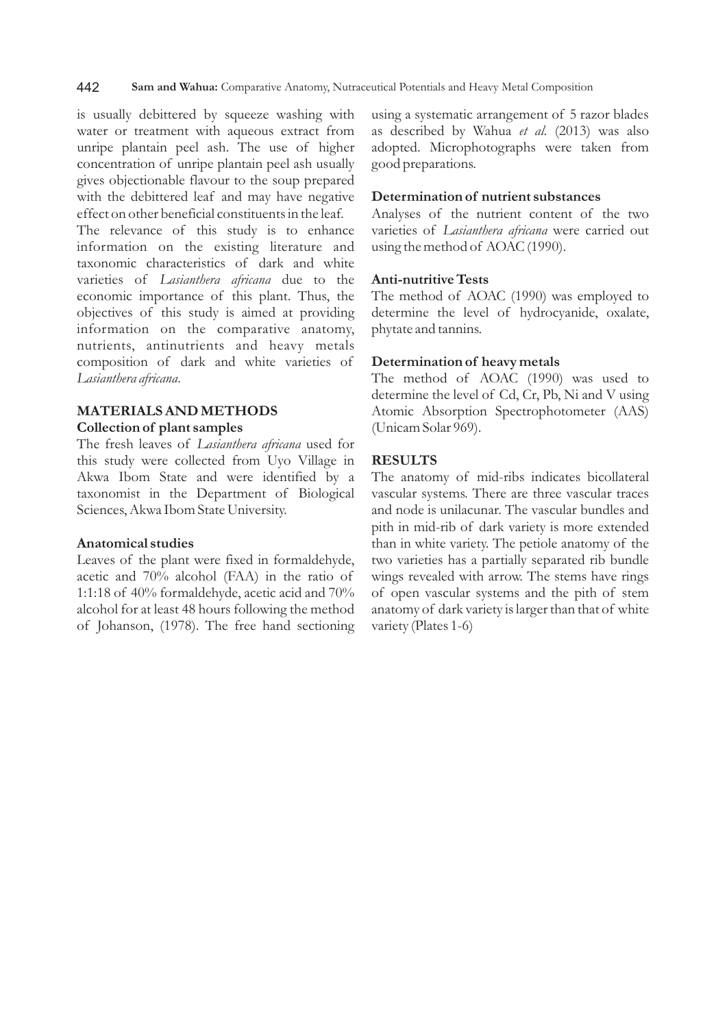is usually debittered by squeeze washing with water or treatment with aqueous extract from unripe plantain peel ash. The use of higher concentration of unripe plantain peel ash usually gives objectionable flavour to the soup prepared with the debittered leaf and may have negative effect on other beneficial constituents in the leaf.

The relevance of this study is to enhance information on the existing literature and taxonomic characteristics of dark and white varieties of *Lasianthera africana* due to the economic importance of this plant. Thus, the objectives of this study is aimed at providing information on the comparative anatomy, nutrients, antinutrients and heavy metals composition of dark and white varieties of *Lasianthera africana*.

# **MATERIALS AND METHODS Collection of plant samples**

The fresh leaves of *Lasianthera africana* used for this study were collected from Uyo Village in Akwa Ibom State and were identified by a taxonomist in the Department of Biological Sciences, Akwa Ibom State University.

### **Anatomical studies**

Leaves of the plant were fixed in formaldehyde, acetic and 70% alcohol (FAA) in the ratio of 1:1:18 of 40% formaldehyde, acetic acid and 70% alcohol for at least 48 hours following the method of Johanson, (1978). The free hand sectioning using a systematic arrangement of 5 razor blades as described by Wahua *et al*. (2013) was also adopted. Microphotographs were taken from good preparations.

# **Determination of nutrient substances**

Analyses of the nutrient content of the two varieties of *Lasianthera africana* were carried out using the method of AOAC (1990).

# **Anti-nutritive Tests**

The method of AOAC (1990) was employed to determine the level of hydrocyanide, oxalate, phytate and tannins.

# **Determination of heavy metals**

The method of AOAC (1990) was used to determine the level of Cd, Cr, Pb, Ni and V using Atomic Absorption Spectrophotometer (AAS) (Unicam Solar 969).

### **RESULTS**

The anatomy of mid-ribs indicates bicollateral vascular systems. There are three vascular traces and node is unilacunar. The vascular bundles and pith in mid-rib of dark variety is more extended than in white variety. The petiole anatomy of the two varieties has a partially separated rib bundle wings revealed with arrow. The stems have rings of open vascular systems and the pith of stem anatomy of dark variety is larger than that of white variety (Plates 1-6)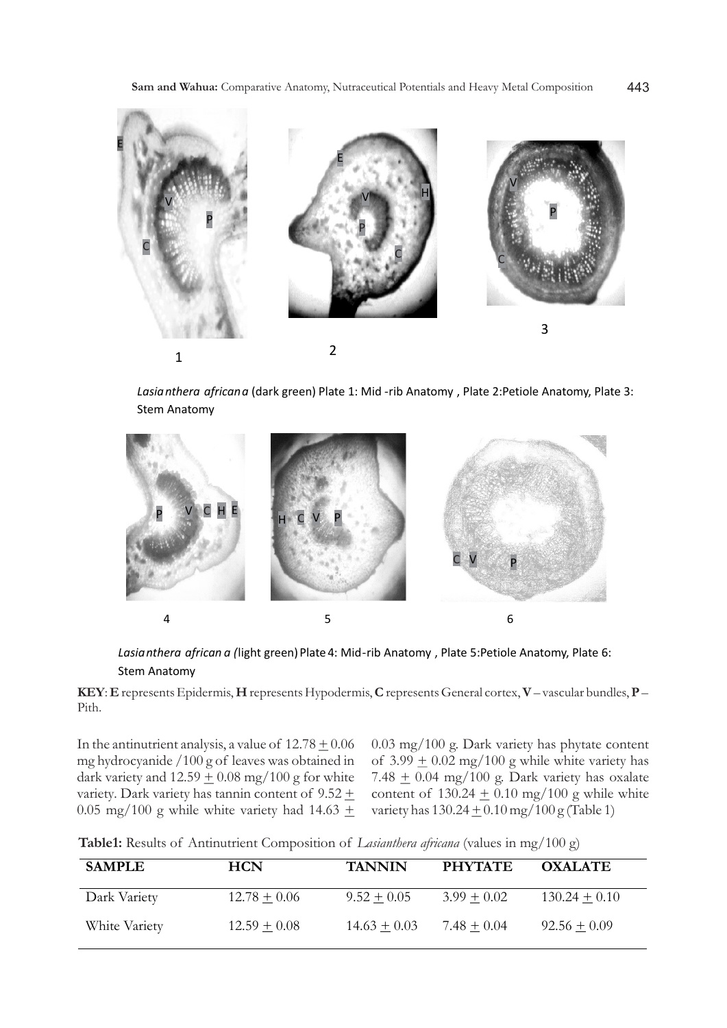

*Lasianthera africana* (dark green) Plate 1: Mid -rib Anatomy , Plate 2:Petiole Anatomy, Plate 3: Stem Anatomy



Lasianthera african a (light green) Plate 4: Mid-rib Anatomy, Plate 5:Petiole Anatomy, Plate 6: Stem Anatomy

**KEY**: **E** represents Epidermis, **H** represents Hypodermis, **C**represents General cortex, **V**– vascular bundles, **P** – Pith.

In the antinutrient analysis, a value of  $12.78 \pm 0.06$ mg hydrocyanide /100 g of leaves was obtained in dark variety and  $12.59 \pm 0.08$  mg/100 g for white variety. Dark variety has tannin content of  $9.52 \pm$ 0.05 mg/100 g while white variety had 14.63  $\pm$ 

0.03 mg/100 g. Dark variety has phytate content of  $3.99 \pm 0.02$  mg/100 g while white variety has 7.48  $\pm$  0.04 mg/100 g. Dark variety has oxalate content of  $130.24 \pm 0.10$  mg/100 g while white variety has  $130.24 \pm 0.10$  mg/ $100$  g (Table 1)

**Table1:** Results of Antinutrient Composition of *Lasianthera africana* (values in mg/100 g)

| <b>SAMPLE</b> | <b>HCN</b>     | <b>TANNIN</b>  | <b>PHYTATE</b> | <b>OXALATE</b>  |
|---------------|----------------|----------------|----------------|-----------------|
| Dark Variety  | $12.78 + 0.06$ | $9.52 + 0.05$  | $3.99 + 0.02$  | $130.24 + 0.10$ |
| White Variety | $12.59 + 0.08$ | $14.63 + 0.03$ | $7.48 + 0.04$  | $92.56 + 0.09$  |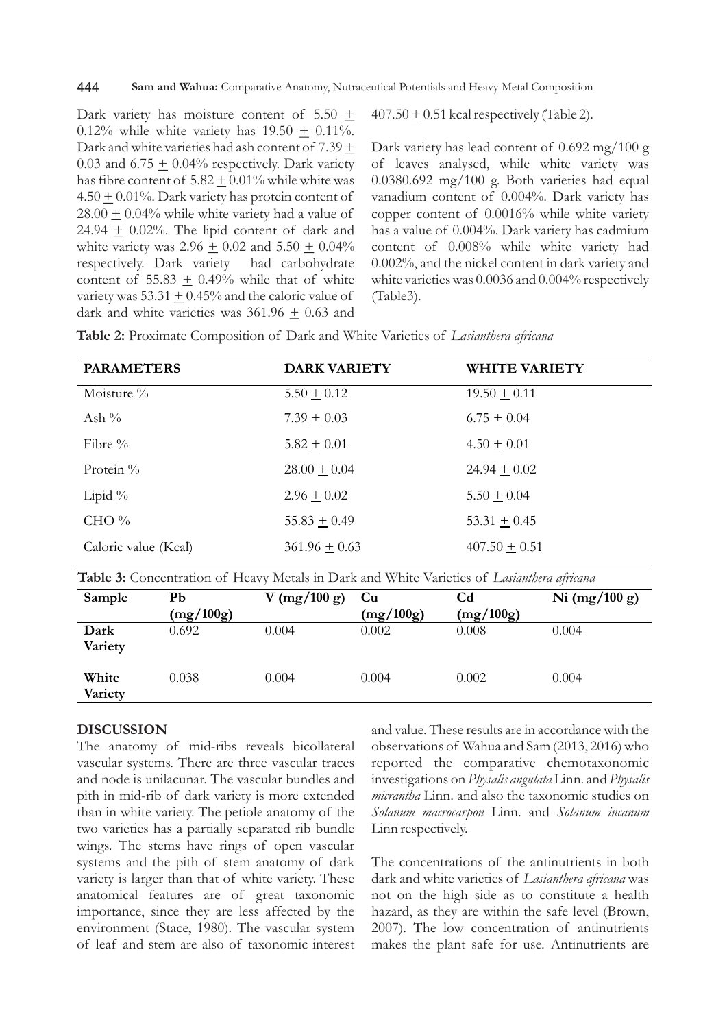Dark variety has moisture content of  $5.50 +$ 0.12% while white variety has  $19.50 + 0.11$ %. Dark and white varieties had ash content of  $7.39 \pm$ 0.03 and 6.75  $\pm$  0.04% respectively. Dark variety has fibre content of  $5.82 \pm 0.01\%$  while white was  $4.50 + 0.01\%$ . Dark variety has protein content of  $28.00 + 0.04\%$  while white variety had a value of 24.94  $\pm$  0.02%. The lipid content of dark and white variety was 2.96  $\pm$  0.02 and 5.50  $\pm$  0.04% respectively. Dark variety had carbohydrate content of 55.83  $\pm$  0.49% while that of white variety was  $53.31 + 0.45\%$  and the caloric value of dark and white varieties was  $361.96 \pm 0.63$  and  $407.50 \pm 0.51$  kcal respectively (Table 2).

Dark variety has lead content of 0.692 mg/100 g of leaves analysed, while white variety was 0.0380.692 mg/100 g. Both varieties had equal vanadium content of 0.004%. Dark variety has copper content of 0.0016% while white variety has a value of 0.004%. Dark variety has cadmium content of 0.008% while white variety had 0.002%, and the nickel content in dark variety and white varieties was 0.0036 and 0.004% respectively (Table3).

| Table 2: Proximate Composition of Dark and White Varieties of Lasianthera africana |  |  |  |  |  |
|------------------------------------------------------------------------------------|--|--|--|--|--|
|------------------------------------------------------------------------------------|--|--|--|--|--|

| <b>PARAMETERS</b>    | <b>DARK VARIETY</b> | <b>WHITE VARIETY</b> |
|----------------------|---------------------|----------------------|
| Moisture $\%$        | $5.50 \pm 0.12$     | $19.50 \pm 0.11$     |
| Ash $\%$             | $7.39 \pm 0.03$     | $6.75 \pm 0.04$      |
| Fibre $\%$           | $5.82 + 0.01$       | $4.50 + 0.01$        |
| Protein %            | $28.00 \pm 0.04$    | $24.94 \pm 0.02$     |
| Lipid $\%$           | $2.96 \pm 0.02$     | $5.50 \pm 0.04$      |
| CHO $\%$             | $55.83 \pm 0.49$    | 53.31 $\pm$ 0.45     |
| Caloric value (Kcal) | $361.96 + 0.63$     | $407.50 + 0.51$      |

**Table 3:** Concentration of Heavy Metals in Dark and White Varieties of *Lasianthera africana*

| Sample           | Pb<br>(mg/100g) | V (mg/100 g) | Cu<br>(mg/100g) | $\mathbf{C} \mathbf{d}$<br>(mg/100g) | Ni $(mg/100 g)$ |
|------------------|-----------------|--------------|-----------------|--------------------------------------|-----------------|
| Dark<br>Variety  | 0.692           | 0.004        | 0.002           | 0.008                                | 0.004           |
| White<br>Variety | 0.038           | 0.004        | 0.004           | 0.002                                | 0.004           |

#### **DISCUSSION**

The anatomy of mid-ribs reveals bicollateral vascular systems. There are three vascular traces and node is unilacunar. The vascular bundles and pith in mid-rib of dark variety is more extended than in white variety. The petiole anatomy of the two varieties has a partially separated rib bundle wings. The stems have rings of open vascular systems and the pith of stem anatomy of dark variety is larger than that of white variety. These anatomical features are of great taxonomic importance, since they are less affected by the environment (Stace, 1980). The vascular system of leaf and stem are also of taxonomic interest and value. These results are in accordance with the observations of Wahua and Sam (2013, 2016) who reported the comparative chemotaxonomic investigations on *Physalis angulata* Linn. and *Physalis micrantha* Linn. and also the taxonomic studies on *Solanum macrocarpon* Linn. and *Solanum incanum* Linn respectively.

The concentrations of the antinutrients in both dark and white varieties of *Lasianthera africana* was not on the high side as to constitute a health hazard, as they are within the safe level (Brown, 2007). The low concentration of antinutrients makes the plant safe for use. Antinutrients are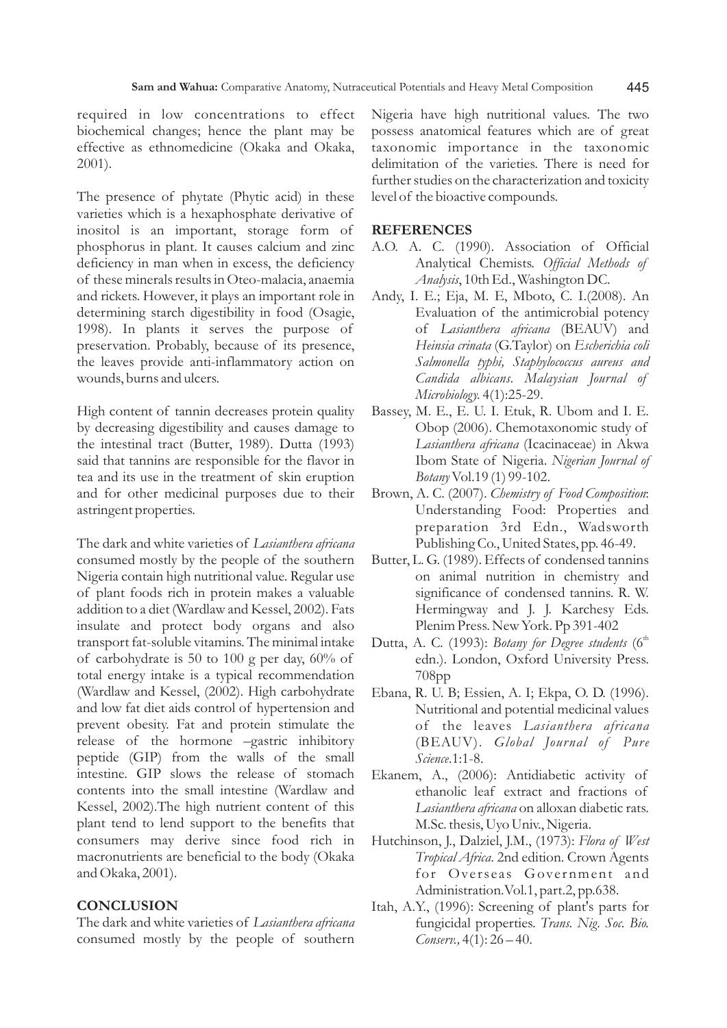required in low concentrations to effect biochemical changes; hence the plant may be effective as ethnomedicine (Okaka and Okaka, 2001).

The presence of phytate (Phytic acid) in these varieties which is a hexaphosphate derivative of inositol is an important, storage form of phosphorus in plant. It causes calcium and zinc deficiency in man when in excess, the deficiency of these minerals results in Oteo-malacia, anaemia and rickets. However, it plays an important role in determining starch digestibility in food (Osagie, 1998). In plants it serves the purpose of preservation. Probably, because of its presence, the leaves provide anti-inflammatory action on wounds, burns and ulcers.

High content of tannin decreases protein quality by decreasing digestibility and causes damage to the intestinal tract (Butter, 1989). Dutta (1993) said that tannins are responsible for the flavor in tea and its use in the treatment of skin eruption and for other medicinal purposes due to their astringent properties.

The dark and white varieties of *Lasianthera africana*  consumed mostly by the people of the southern Nigeria contain high nutritional value. Regular use of plant foods rich in protein makes a valuable addition to a diet (Wardlaw and Kessel, 2002). Fats insulate and protect body organs and also transport fat-soluble vitamins. The minimal intake of carbohydrate is 50 to 100 g per day, 60% of total energy intake is a typical recommendation (Wardlaw and Kessel, (2002). High carbohydrate and low fat diet aids control of hypertension and prevent obesity. Fat and protein stimulate the release of the hormone –gastric inhibitory peptide (GIP) from the walls of the small intestine. GIP slows the release of stomach contents into the small intestine (Wardlaw and Kessel, 2002).The high nutrient content of this plant tend to lend support to the benefits that consumers may derive since food rich in macronutrients are beneficial to the body (Okaka and Okaka, 2001).

### **CONCLUSION**

The dark and white varieties of *Lasianthera africana*  consumed mostly by the people of southern Nigeria have high nutritional values. The two possess anatomical features which are of great taxonomic importance in the taxonomic delimitation of the varieties. There is need for further studies on the characterization and toxicity level of the bioactive compounds.

#### **REFERENCES**

- A.O. A. C. (1990). Association of Official Analytical Chemists. *Official Methods of Analysis*, 10th Ed., Washington DC.
- Andy, I. E.; Eja, M. E, Mboto, C. I.(2008). An Evaluation of the antimicrobial potency of *Lasianthera africana* (BEAUV) and *Heinsia crinata* (G.Taylor) on *Escherichia coli Salmonella typhi, Staphylococcus aureus and Candida albicans*. *Malaysian Journal of Microbiology.* 4(1):25-29.
- Bassey, M. E., E. U. I. Etuk, R. Ubom and I. E. Obop (2006). Chemotaxonomic study of *Lasianthera africana* (Icacinaceae) in Akwa Ibom State of Nigeria. *Nigerian Journal of Botany*Vol.19 (1) 99-102.
- Brown, A. C. (2007). *Chemistry of Food Composition*: Understanding Food: Properties and preparation 3rd Edn., Wadsworth Publishing Co., United States, pp. 46-49.
- Butter, L. G. (1989). Effects of condensed tannins on animal nutrition in chemistry and significance of condensed tannins. R. W. Hermingway and J. J. Karchesy Eds. Plenim Press. New York. Pp 391-402
- Dutta, A. C. (1993): *Botany for Degree students* (6<sup>th</sup>) edn.). London, Oxford University Press. 708pp
- Ebana, R. U. B; Essien, A. I; Ekpa, O. D. (1996). Nutritional and potential medicinal values of the leaves *Lasianthera africana* (BEAUV). *Global Journal of Pure Science*.1:1-8.
- Ekanem, A., (2006): Antidiabetic activity of ethanolic leaf extract and fractions of *Lasianthera africana* on alloxan diabetic rats. M.Sc. thesis, Uyo Univ., Nigeria.
- Hutchinson, J., Dalziel, J.M., (1973): *Flora of West Tropical Africa*. 2nd edition. Crown Agents for Overseas Government and Administration.Vol.1, part.2, pp.638.
- Itah, A.Y., (1996): Screening of plant's parts for fungicidal properties. *Trans. Nig. Soc. Bio. Conserv.,* 4(1): 26 – 40.